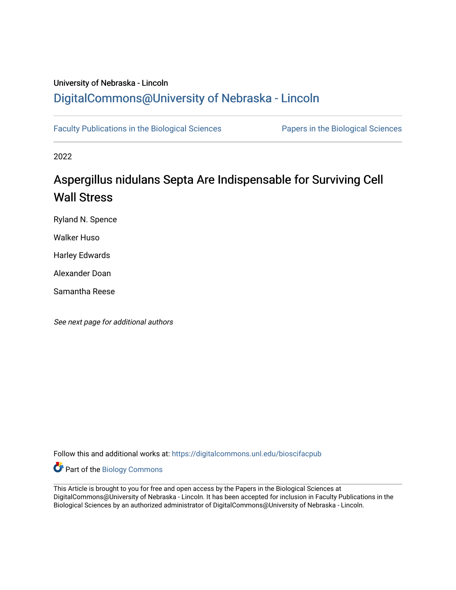## University of Nebraska - Lincoln [DigitalCommons@University of Nebraska - Lincoln](https://digitalcommons.unl.edu/)

[Faculty Publications in the Biological Sciences](https://digitalcommons.unl.edu/bioscifacpub) [Papers in the Biological Sciences](https://digitalcommons.unl.edu/bioscipapers) 

2022

# Aspergillus nidulans Septa Are Indispensable for Surviving Cell Wall Stress

Ryland N. Spence

Walker Huso

Harley Edwards

Alexander Doan

Samantha Reese

See next page for additional authors

Follow this and additional works at: [https://digitalcommons.unl.edu/bioscifacpub](https://digitalcommons.unl.edu/bioscifacpub?utm_source=digitalcommons.unl.edu%2Fbioscifacpub%2F905&utm_medium=PDF&utm_campaign=PDFCoverPages) 

Part of the [Biology Commons](http://network.bepress.com/hgg/discipline/41?utm_source=digitalcommons.unl.edu%2Fbioscifacpub%2F905&utm_medium=PDF&utm_campaign=PDFCoverPages) 

This Article is brought to you for free and open access by the Papers in the Biological Sciences at DigitalCommons@University of Nebraska - Lincoln. It has been accepted for inclusion in Faculty Publications in the Biological Sciences by an authorized administrator of DigitalCommons@University of Nebraska - Lincoln.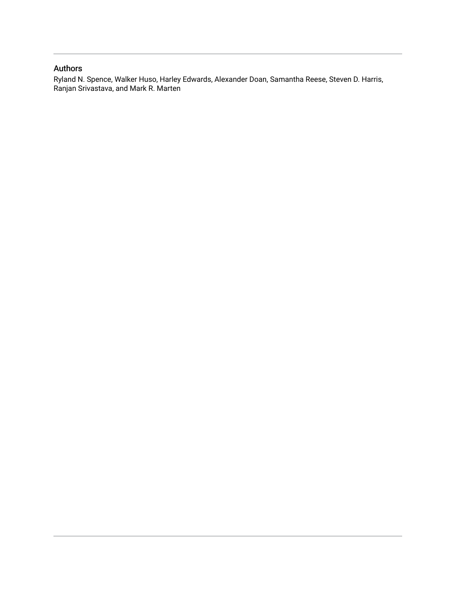## Authors

Ryland N. Spence, Walker Huso, Harley Edwards, Alexander Doan, Samantha Reese, Steven D. Harris, Ranjan Srivastava, and Mark R. Marten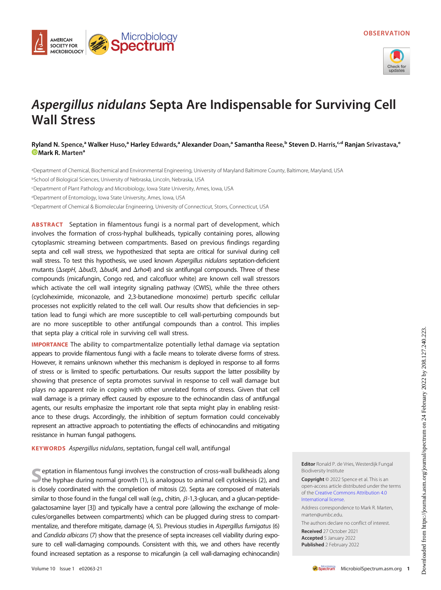

## Aspergillus nidulans Septa Are Indispensable for Surviving Cell Wall Stress

### Ryland N. Spence,<sup>a</sup> Walker Huso,<sup>a</sup> Harley Edwards,<sup>a</sup> Alexander Doan,<sup>a</sup> Samantha Reese,<sup>b</sup> Steven D. Harris,<sup>c.d</sup> Ranjan Srivastava,<sup>e</sup> **D** [Mark R.](https://orcid.org/0000-0002-1863-8956) Marten<sup>a</sup>

a Department of Chemical, Biochemical and Environmental Engineering, University of Maryland Baltimore County, Baltimore, Maryland, USA bSchool of Biological Sciences, University of Nebraska, Lincoln, Nebraska, USA

cDepartment of Plant Pathology and Microbiology, Iowa State University, Ames, Iowa, USA

dDepartment of Entomology, Iowa State University, Ames, Iowa, USA

**AMERICAN SOCIETY FOR MICROBIOLOGY** 

eDepartment of Chemical & Biomolecular Engineering, University of Connecticut, Storrs, Connecticut, USA

Microbiology<br>**Spectrum** 

ABSTRACT Septation in filamentous fungi is a normal part of development, which involves the formation of cross-hyphal bulkheads, typically containing pores, allowing cytoplasmic streaming between compartments. Based on previous findings regarding septa and cell wall stress, we hypothesized that septa are critical for survival during cell wall stress. To test this hypothesis, we used known Aspergillus nidulans septation-deficient mutants ( $\Delta$ sepH,  $\Delta$ bud3,  $\Delta$ bud4, and  $\Delta$ rho4) and six antifungal compounds. Three of these compounds (micafungin, Congo red, and calcofluor white) are known cell wall stressors which activate the cell wall integrity signaling pathway (CWIS), while the three others (cycloheximide, miconazole, and 2,3-butanedione monoxime) perturb specific cellular processes not explicitly related to the cell wall. Our results show that deficiencies in septation lead to fungi which are more susceptible to cell wall-perturbing compounds but are no more susceptible to other antifungal compounds than a control. This implies that septa play a critical role in surviving cell wall stress.

IMPORTANCE The ability to compartmentalize potentially lethal damage via septation appears to provide filamentous fungi with a facile means to tolerate diverse forms of stress. However, it remains unknown whether this mechanism is deployed in response to all forms of stress or is limited to specific perturbations. Our results support the latter possibility by showing that presence of septa promotes survival in response to cell wall damage but plays no apparent role in coping with other unrelated forms of stress. Given that cell wall damage is a primary effect caused by exposure to the echinocandin class of antifungal agents, our results emphasize the important role that septa might play in enabling resistance to these drugs. Accordingly, the inhibition of septum formation could conceivably represent an attractive approach to potentiating the effects of echinocandins and mitigating resistance in human fungal pathogens.

KEYWORDS Aspergillus nidulans, septation, fungal cell wall, antifungal

Septation in filamentous fungi involves the construction of cross-wall bulkheads along<br>the hyphae during normal growth [\(1\)](#page-5-0), is analogous to animal cell cytokinesis ([2](#page-5-1)), and is closely coordinated with the completion of mitosis [\(2](#page-5-1)). Septa are composed of materials similar to those found in the fungal cell wall (e.g., chitin,  $\beta$ -1,3-glucan, and a glucan-peptidegalactosamine layer [\[3\]](#page-5-2)) and typically have a central pore (allowing the exchange of molecules/organelles between compartments) which can be plugged during stress to compartmentalize, and therefore mitigate, damage ([4](#page-5-3), [5](#page-5-4)). Previous studies in Aspergillus fumigatus [\(6](#page-5-5)) and Candida albicans ([7](#page-5-6)) show that the presence of septa increases cell viability during exposure to cell wall-damaging compounds. Consistent with this, we and others have recently found increased septation as a response to micafungin (a cell wall-damaging echinocandin) Editor Ronald P. de Vries, Westerdijk Fungal Biodiversity Institute

Copyright © 2022 Spence et al. This is an open-access article distributed under the terms of the [Creative Commons Attribution 4.0](https://creativecommons.org/licenses/by/4.0/) [International license](https://creativecommons.org/licenses/by/4.0/).

Address correspondence to Mark R. Marten, marten@umbc.edu.

The authors declare no conflict of interest.

Received 27 October 2021 Accepted 5 January 2022 Published 2 February 2022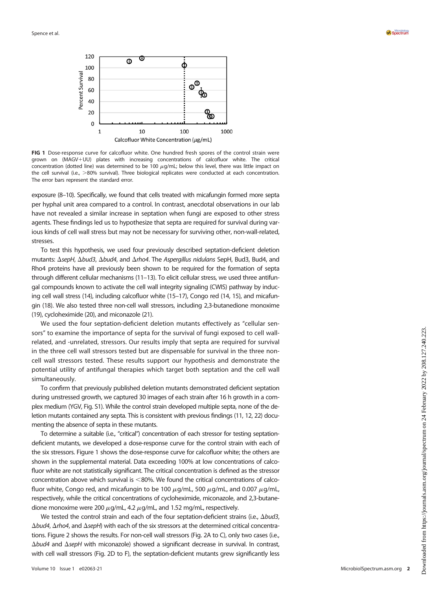



<span id="page-3-0"></span>FIG 1 Dose-response curve for calcofluor white. One hundred fresh spores of the control strain were grown on (MAGV+UU) plates with increasing concentrations of calcofluor white. The critical concentration (dotted line) was determined to be 100  $\mu$ g/mL; below this level, there was little impact on the cell survival (i.e., >80% survival). Three biological replicates were conducted at each concentration. The error bars represent the standard error.

exposure [\(8](#page-5-7)[–](#page-5-8)[10\)](#page-5-9). Specifically, we found that cells treated with micafungin formed more septa per hyphal unit area compared to a control. In contrast, anecdotal observations in our lab have not revealed a similar increase in septation when fungi are exposed to other stress agents. These findings led us to hypothesize that septa are required for survival during various kinds of cell wall stress but may not be necessary for surviving other, non-wall-related, stresses.

To test this hypothesis, we used four previously described septation-deficient deletion mutants:  $\Delta$ sepH,  $\Delta$ bud3,  $\Delta$ bud4, and  $\Delta$ rho4. The Aspergillus nidulans SepH, Bud3, Bud4, and Rho4 proteins have all previously been shown to be required for the formation of septa through different cellular mechanisms [\(11](#page-5-10)[–](#page-5-11)[13\)](#page-5-12). To elicit cellular stress, we used three antifungal compounds known to activate the cell wall integrity signaling (CWIS) pathway by inducing cell wall stress [\(14](#page-5-13)), including calcofluor white [\(15](#page-5-14)[–](#page-5-15)[17\)](#page-6-0), Congo red [\(14,](#page-5-13) [15\)](#page-5-14), and micafungin ([18](#page-6-1)). We also tested three non-cell wall stressors, including 2,3-butanedione monoxime [\(19](#page-6-2)), cycloheximide ([20](#page-6-3)), and miconazole ([21](#page-6-4)).

We used the four septation-deficient deletion mutants effectively as "cellular sensors" to examine the importance of septa for the survival of fungi exposed to cell wallrelated, and -unrelated, stressors. Our results imply that septa are required for survival in the three cell wall stressors tested but are dispensable for survival in the three noncell wall stressors tested. These results support our hypothesis and demonstrate the potential utility of antifungal therapies which target both septation and the cell wall simultaneously.

To confirm that previously published deletion mutants demonstrated deficient septation during unstressed growth, we captured 30 images of each strain after 16 h growth in a complex medium (YGV, Fig. S1). While the control strain developed multiple septa, none of the deletion mutants contained any septa. This is consistent with previous findings [\(11](#page-5-10), [12,](#page-5-11) [22](#page-6-5)) documenting the absence of septa in these mutants.

To determine a suitable (i.e., "critical") concentration of each stressor for testing septationdeficient mutants, we developed a dose-response curve for the control strain with each of the six stressors. [Figure 1](#page-3-0) shows the dose-response curve for calcofluor white; the others are shown in the supplemental material. Data exceeding 100% at low concentrations of calcofluor white are not statistically significant. The critical concentration is defined as the stressor concentration above which survival is  $<80\%$ . We found the critical concentrations of calcofluor white, Congo red, and micafungin to be 100  $\mu$ g/mL, 500  $\mu$ g/mL, and 0.007  $\mu$ g/mL, respectively, while the critical concentrations of cycloheximide, miconazole, and 2,3-butanedione monoxime were 200  $\mu$ g/mL, 4.2  $\mu$ g/mL, and 1.52 mg/mL, respectively.

We tested the control strain and each of the four septation-deficient strains (i.e.,  $\Delta b u d3$ ,  $\Delta$ bud4,  $\Delta$ rho4, and  $\Delta$ sepH) with each of the six stressors at the determined critical concentrations. [Figure 2](#page-4-0) shows the results. For non-cell wall stressors ([Fig. 2A](#page-4-0) to [C\)](#page-4-0), only two cases (i.e.,  $\Delta$ bud4 and  $\Delta$ sepH with miconazole) showed a significant decrease in survival. In contrast, with cell wall stressors [\(Fig. 2D](#page-4-0) to [F\)](#page-4-0), the septation-deficient mutants grew significantly less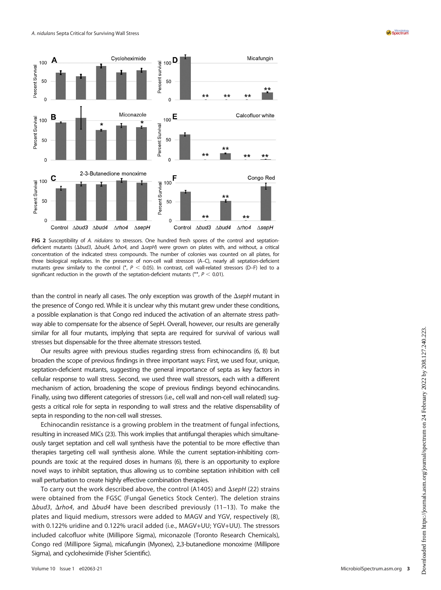

<span id="page-4-0"></span>FIG 2 Susceptibility of A. nidulans to stressors. One hundred fresh spores of the control and septationdeficient mutants ( $\Delta bud3$ ,  $\Delta bud4$ ,  $\Delta rho4$ , and  $\Delta seph$ ) were grown on plates with, and without, a critical concentration of the indicated stress compounds. The number of colonies was counted on all plates, for three biological replicates. In the presence of non-cell wall stressors (A–C), nearly all septation-deficient mutants grew similarly to the control (\*,  $P < 0.05$ ). In contrast, cell wall-related stressors (D–F) led to a significant reduction in the growth of the septation-deficient mutants (\*\*,  $P < 0.01$ ).

than the control in nearly all cases. The only exception was growth of the  $\Delta$ sepH mutant in the presence of Congo red. While it is unclear why this mutant grew under these conditions, a possible explanation is that Congo red induced the activation of an alternate stress pathway able to compensate for the absence of SepH. Overall, however, our results are generally similar for all four mutants, implying that septa are required for survival of various wall stresses but dispensable for the three alternate stressors tested.

Our results agree with previous studies regarding stress from echinocandins [\(6,](#page-5-5) [8\)](#page-5-7) but broaden the scope of previous findings in three important ways: First, we used four, unique, septation-deficient mutants, suggesting the general importance of septa as key factors in cellular response to wall stress. Second, we used three wall stressors, each with a different mechanism of action, broadening the scope of previous findings beyond echinocandins. Finally, using two different categories of stressors (i.e., cell wall and non-cell wall related) suggests a critical role for septa in responding to wall stress and the relative dispensability of septa in responding to the non-cell wall stresses.

Echinocandin resistance is a growing problem in the treatment of fungal infections, resulting in increased MICs ([23](#page-6-6)). This work implies that antifungal therapies which simultaneously target septation and cell wall synthesis have the potential to be more effective than therapies targeting cell wall synthesis alone. While the current septation-inhibiting compounds are toxic at the required doses in humans ([6\)](#page-5-5), there is an opportunity to explore novel ways to inhibit septation, thus allowing us to combine septation inhibition with cell wall perturbation to create highly effective combination therapies.

To carry out the work described above, the control (A1405) and  $\Delta$ sepH [\(22\)](#page-6-5) strains were obtained from the FGSC (Fungal Genetics Stock Center). The deletion strains  $\Delta$ bud3,  $\Delta$ rho4, and  $\Delta$ bud4 have been described previously ([11](#page-5-10)-[13](#page-5-12)). To make the plates and liquid medium, stressors were added to MAGV and YGV, respectively ([8](#page-5-7)), with 0.122% uridine and 0.122% uracil added (i.e., MAGV+UU; YGV+UU). The stressors included calcofluor white (Millipore Sigma), miconazole (Toronto Research Chemicals), Congo red (Millipore Sigma), micafungin (Myonex), 2,3-butanedione monoxime (Millipore Sigma), and cycloheximide (Fisher Scientific).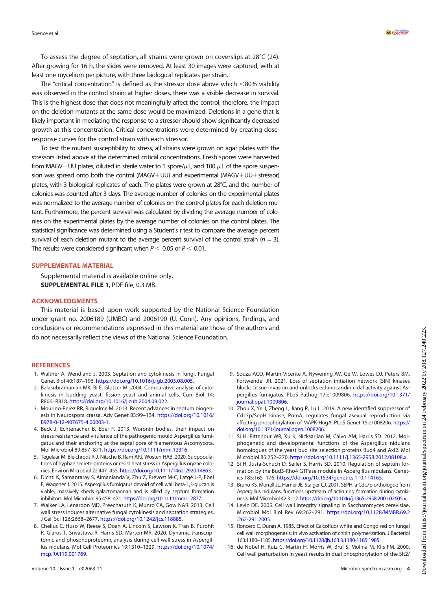To assess the degree of septation, all strains were grown on coverslips at 28°C [\(24\)](#page-6-7). After growing for 16 h, the slides were removed. At least 30 images were captured, with at least one mycelium per picture, with three biological replicates per strain.

The "critical concentration" is defined as the stressor dose above which  $<80\%$  viability was observed in the control strain; at higher doses, there was a visible decrease in survival. This is the highest dose that does not meaningfully affect the control; therefore, the impact on the deletion mutants at the same dose would be maximized. Deletions in a gene that is likely important in mediating the response to a stressor should show significantly decreased growth at this concentration. Critical concentrations were determined by creating doseresponse curves for the control strain with each stressor.

To test the mutant susceptibility to stress, all strains were grown on agar plates with the stressors listed above at the determined critical concentrations. Fresh spores were harvested from MAGV+UU plates, diluted in sterile water to 1 spore/ $\mu$ L, and 100  $\mu$ L of the spore suspension was spread onto both the control (MAGV+UU) and experimental (MAGV+UU+stressor) plates, with 3 biological replicates of each. The plates were grown at 28°C, and the number of colonies was counted after 3 days. The average number of colonies on the experimental plates was normalized to the average number of colonies on the control plates for each deletion mutant. Furthermore, the percent survival was calculated by dividing the average number of colonies on the experimental plates by the average number of colonies on the control plates. The statistical significance was determined using a Student's t test to compare the average percent survival of each deletion mutant to the average percent survival of the control strain ( $n = 3$ ). The results were considered significant when  $P < 0.05$  or  $P < 0.01$ .

### SUPPLEMENTAL MATERIAL

Supplemental material is available online only. SUPPLEMENTAL FILE 1, PDF file, 0.3 MB.

### ACKNOWLEDGMENTS

This material is based upon work supported by the National Science Foundation under grant no. 2006189 (UMBC) and 2006190 (U. Conn). Any opinions, findings, and conclusions or recommendations expressed in this material are those of the authors and do not necessarily reflect the views of the National Science Foundation.

#### **REFERENCES**

- <span id="page-5-0"></span>1. Walther A, Wendland J. 2003. Septation and cytokinesis in fungi. Fungal Genet Biol 40:187–196. [https://doi.org/10.1016/j.fgb.2003.08.005.](https://doi.org/10.1016/j.fgb.2003.08.005)
- <span id="page-5-1"></span>2. Balasubramanian MK, Bi E, Glotzer M. 2004. Comparative analysis of cytokinesis in budding yeast, fission yeast and animal cells. Curr Biol 14: R806–R818. [https://doi.org/10.1016/j.cub.2004.09.022.](https://doi.org/10.1016/j.cub.2004.09.022)
- <span id="page-5-2"></span>3. Mourino-Perez RR, Riquelme M. 2013. Recent advances in septum biogenesis in Neurospora crassa. Adv Genet 83:99–134. [https://doi.org/10.1016/](https://doi.org/10.1016/B978-0-12-407675-4.00003-1) [B978-0-12-407675-4.00003-1](https://doi.org/10.1016/B978-0-12-407675-4.00003-1).
- <span id="page-5-3"></span>4. Beck J, Echtenacher B, Ebel F. 2013. Woronin bodies, their impact on stress resistance and virulence of the pathogenic mould Aspergillus fumigatus and their anchoring at the septal pore of filamentous Ascomycota. Mol Microbiol 89:857–871. <https://doi.org/10.1111/mmi.12316>.
- <span id="page-5-4"></span>5. Tegelaar M, Bleichrodt R-J, Nitsche B, Ram AFJ, Wösten HAB. 2020. Subpopulations of hyphae secrete proteins or resist heat stress in Aspergillus oryzae colonies. Environ Microbiol 22:447–455. [https://doi.org/10.1111/1462-2920.14863.](https://doi.org/10.1111/1462-2920.14863)
- <span id="page-5-5"></span>6. Dichtl K, Samantaray S, Aimanianda V, Zhu Z, Prévost M-C, Latgé J-P, Ebel F, Wagener J. 2015. Aspergillus fumigatus devoid of cell wall beta-1,3-glucan is viable, massively sheds galactomannan and is killed by septum formation inhibitors. Mol Microbiol 95:458–471. [https://doi.org/10.1111/mmi.12877.](https://doi.org/10.1111/mmi.12877)
- <span id="page-5-6"></span>7. Walker LA, Lenardon MD, Preechasuth K, Munro CA, Gow NAR. 2013. Cell wall stress induces alternative fungal cytokinesis and septation strategies. J Cell Sci 126:2668–2677. <https://doi.org/10.1242/jcs.118885>.
- <span id="page-5-7"></span>8. Chelius C, Huso W, Reese S, Doan A, Lincoln S, Lawson K, Tran B, Purohit R, Glaros T, Srivastava R, Harris SD, Marten MR. 2020. Dynamic transcriptomic and phosphoproteomic analysis during cell wall stress in Aspergillus nidulans. Mol Cell Proteomics 19:1310–1329. [https://doi.org/10.1074/](https://doi.org/10.1074/mcp.RA119.001769) [mcp.RA119.001769](https://doi.org/10.1074/mcp.RA119.001769).
- <span id="page-5-8"></span>9. Souza ACO, Martin-Vicente A, Nywening AV, Ge W, Lowes DJ, Peters BM, Fortwendel JR. 2021. Loss of septation initiation network (SIN) kinases blocks tissue invasion and unlocks echinocandin cidal activity against Aspergillus fumigatus. PLoS Pathog 17:e1009806. [https://doi.org/10.1371/](https://doi.org/10.1371/journal.ppat.1009806) [journal.ppat.1009806.](https://doi.org/10.1371/journal.ppat.1009806)
- <span id="page-5-9"></span>10. Zhou X, Ye J, Zheng L, Jiang P, Lu L. 2019. A new identified suppressor of Cdc7p/SepH kinase, PomA, regulates fungal asexual reproduction via affecting phosphorylation of MAPK-HogA. PLoS Genet 15:e1008206. [https://](https://doi.org/10.1371/journal.pgen.1008206) [doi.org/10.1371/journal.pgen.1008206.](https://doi.org/10.1371/journal.pgen.1008206)
- <span id="page-5-10"></span>11. Si H, Rittenour WR, Xu K, Nicksarlian M, Calvo AM, Harris SD. 2012. Morphogenetic and developmental functions of the Aspergillus nidulans homologues of the yeast bud site selection proteins Bud4 and Axl2. Mol Microbiol 85:252–270. <https://doi.org/10.1111/j.1365-2958.2012.08108.x>.
- <span id="page-5-11"></span>12. Si H, Justa-Schuch D, Seiler S, Harris SD. 2010. Regulation of septum formation by the Bud3-Rho4 GTPase module in Aspergillus nidulans. Genetics 185:165–176. [https://doi.org/10.1534/genetics.110.114165.](https://doi.org/10.1534/genetics.110.114165)
- <span id="page-5-12"></span>13. Bruno KS, Morrell JL, Hamer JE, Staiger CJ. 2001. SEPH, a Cdc7p orthologue from Aspergillus nidulans, functions upstream of actin ring formation during cytokinesis. Mol Microbiol 42:3–12. [https://doi.org/10.1046/j.1365-2958.2001.02605.x.](https://doi.org/10.1046/j.1365-2958.2001.02605.x)
- <span id="page-5-13"></span>14. Levin DE. 2005. Cell wall integrity signaling in Saccharomyces cerevisiae. Microbiol Mol Biol Rev 69:262–291. [https://doi.org/10.1128/MMBR.69.2](https://doi.org/10.1128/MMBR.69.2.262-291.2005) [.262-291.2005](https://doi.org/10.1128/MMBR.69.2.262-291.2005).
- <span id="page-5-14"></span>15. Roncero C, Duran A. 1985. Effect of Calcofluor white and Congo red on fungal cell wall morphogenesis: in vivo activation of chitin polymerization. J Bacteriol 163:1180–1185. <https://doi.org/10.1128/jb.163.3.1180-1185.1985>.
- <span id="page-5-15"></span>16. de Nobel H, Ruiz C, Martin H, Morris W, Brul S, Molina M, Klis FM. 2000. Cell wall perturbation in yeast results in dual phosphorylation of the Slt2/